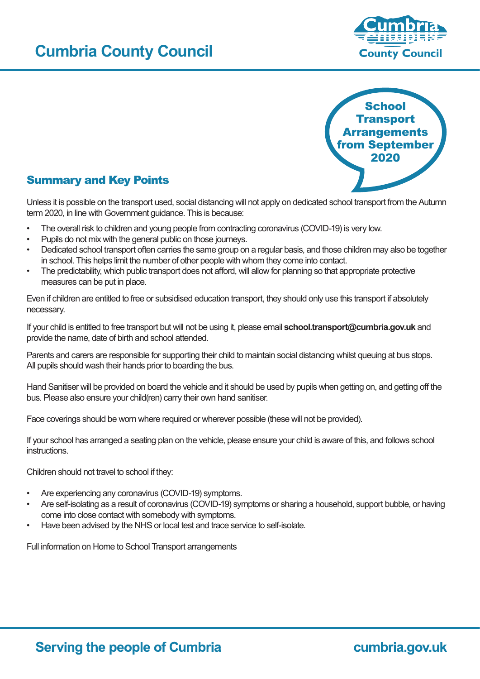# **Cumbria County Council**





## Summary and Key Points

Unless it is possible on the transport used, social distancing will not apply on dedicated school transport from the Autumn term 2020, in line with Government guidance. This is because:

- The overall risk to children and young people from contracting coronavirus (COVID-19) is very low.
- Pupils do not mix with the general public on those journeys.
- Dedicated school transport often carries the same group on a regular basis, and those children may also be together in school. This helps limit the number of other people with whom they come into contact.
- The predictability, which public transport does not afford, will allow for planning so that appropriate protective measures can be put in place.

Even if children are entitled to free or subsidised education transport, they should only use this transport if absolutely necessary.

If your child is entitled to free transport but will not be using it, please email **school.transport@cumbria.gov.uk** and provide the name, date of birth and school attended.

Parents and carers are responsible for supporting their child to maintain social distancing whilst queuing at bus stops. All pupils should wash their hands prior to boarding the bus.

Hand Sanitiser will be provided on board the vehicle and it should be used by pupils when getting on, and getting off the bus. Please also ensure your child(ren) carry their own hand sanitiser.

Face coverings should be worn where required or wherever possible (these will not be provided).

If your school has arranged a seating plan on the vehicle, please ensure your child is aware of this, and follows school instructions.

Children should not travel to school if they:

- Are experiencing any coronavirus (COVID-19) symptoms.
- Are self-isolating as a result of coronavirus (COVID-19) symptoms or sharing a household, support bubble, or having come into close contact with somebody with symptoms.
- Have been advised by the NHS or local test and trace service to self-isolate.

Full information on Home to School Transport arrangements

## cumbria.gov.uk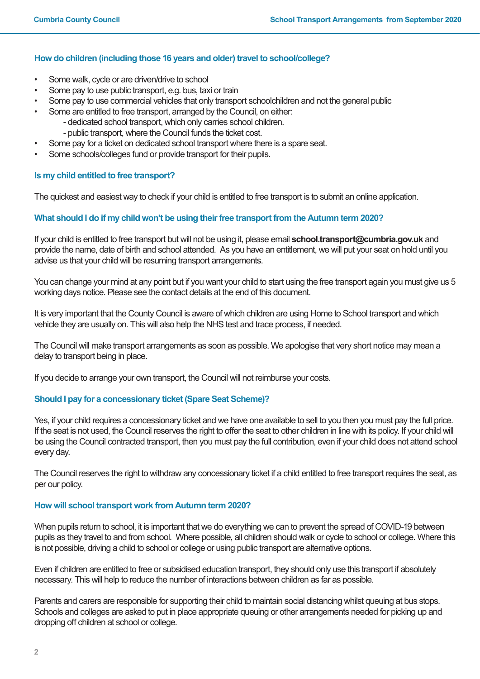## **How do children (including those 16 years and older) travel to school/college?**

- • Some walk, cycle or are driven/drive to school
- Some pay to use public transport, e.g. bus, taxi or train
- Some pay to use commercial vehicles that only transport schoolchildren and not the general public
- Some are entitled to free transport, arranged by the Council, on either:
	- dedicated school transport, which only carries school children.
	- public transport, where the Council funds the ticket cost.
- Some pay for a ticket on dedicated school transport where there is a spare seat.
- Some schools/colleges fund or provide transport for their pupils.

## **Is my child entitled to free transport?**

The quickest and easiest way to check if your child is entitled to free transport is to submit an online application.

## **What should I do if my child won't be using their free transport from the Autumn term 2020?**

If your child is entitled to free transport but will not be using it, please email **school.transport@cumbria.gov.uk** and provide the name, date of birth and school attended. As you have an entitlement, we will put your seat on hold until you advise us that your child will be resuming transport arrangements.

You can change your mind at any point but if you want your child to start using the free transport again you must give us 5 working days notice. Please see the contact details at the end of this document.

It is very important that the County Council is aware of which children are using Home to School transport and which vehicle they are usually on. This will also help the NHS test and trace process, if needed.

The Council will make transport arrangements as soon as possible. We apologise that very short notice may mean a delay to transport being in place.

If you decide to arrange your own transport, the Council will not reimburse your costs.

## **Should I pay for a concessionary ticket (Spare Seat Scheme)?**

Yes, if your child requires a concessionary ticket and we have one available to sell to you then you must pay the full price. If the seat is not used, the Council reserves the right to offer the seat to other children in line with its policy. If your child will be using the Council contracted transport, then you must pay the full contribution, even if your child does not attend school every day.

The Council reserves the right to withdraw any concessionary ticket if a child entitled to free transport requires the seat, as per our policy.

## **How will school transport work from Autumn term 2020?**

When pupils return to school, it is important that we do everything we can to prevent the spread of COVID-19 between pupils as they travel to and from school. Where possible, all children should walk or cycle to school or college. Where this is not possible, driving a child to school or college or using public transport are alternative options.

Even if children are entitled to free or subsidised education transport, they should only use this transport if absolutely necessary. This will help to reduce the number of interactions between children as far as possible.

Parents and carers are responsible for supporting their child to maintain social distancing whilst queuing at bus stops. Schools and colleges are asked to put in place appropriate queuing or other arrangements needed for picking up and dropping off children at school or college.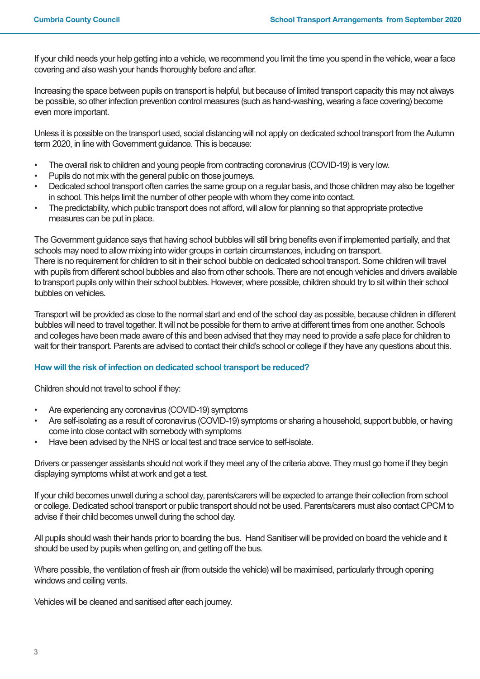If your child needs your help getting into a vehicle, we recommend you limit the time you spend in the vehicle, wear a face covering and also wash your hands thoroughly before and after.

Increasing the space between pupils on transport is helpful, but because of limited transport capacity this may not always be possible, so other infection prevention control measures (such as hand-washing, wearing a face covering) become even more important.

Unless it is possible on the transport used, social distancing will not apply on dedicated school transport from the Autumn term 2020, in line with Government guidance. This is because:

- The overall risk to children and young people from contracting coronavirus (COVID-19) is very low.
- Pupils do not mix with the general public on those journeys.
- Dedicated school transport often carries the same group on a regular basis, and those children may also be together in school. This helps limit the number of other people with whom they come into contact.
- The predictability, which public transport does not afford, will allow for planning so that appropriate protective measures can be put in place.

The Government guidance says that having school bubbles will still bring benefits even if implemented partially, and that schools may need to allow mixing into wider groups in certain circumstances, including on transport. There is no requirement for children to sit in their school bubble on dedicated school transport. Some children will travel with pupils from different school bubbles and also from other schools. There are not enough vehicles and drivers available to transport pupils only within their school bubbles. However, where possible, children should try to sit within their school bubbles on vehicles.

Transport will be provided as close to the normal start and end of the school day as possible, because children in different bubbles will need to travel together. It will not be possible for them to arrive at different times from one another. Schools and colleges have been made aware of this and been advised that they may need to provide a safe place for children to wait for their transport. Parents are advised to contact their child's school or college if they have any questions about this.

## **How will the risk of infection on dedicated school transport be reduced?**

Children should not travel to school if they:

- Are experiencing any coronavirus (COVID-19) symptoms
- Are self-isolating as a result of coronavirus (COVID-19) symptoms or sharing a household, support bubble, or having come into close contact with somebody with symptoms
- Have been advised by the NHS or local test and trace service to self-isolate.

Drivers or passenger assistants should not work if they meet any of the criteria above. They must go home if they begin displaying symptoms whilst at work and get a test.

If your child becomes unwell during a school day, parents/carers will be expected to arrange their collection from school or college. Dedicated school transport or public transport should not be used. Parents/carers must also contact CPCM to advise if their child becomes unwell during the school day.

All pupils should wash their hands prior to boarding the bus. Hand Sanitiser will be provided on board the vehicle and it should be used by pupils when getting on, and getting off the bus.

Where possible, the ventilation of fresh air (from outside the vehicle) will be maximised, particularly through opening windows and ceiling vents.

Vehicles will be cleaned and sanitised after each journey.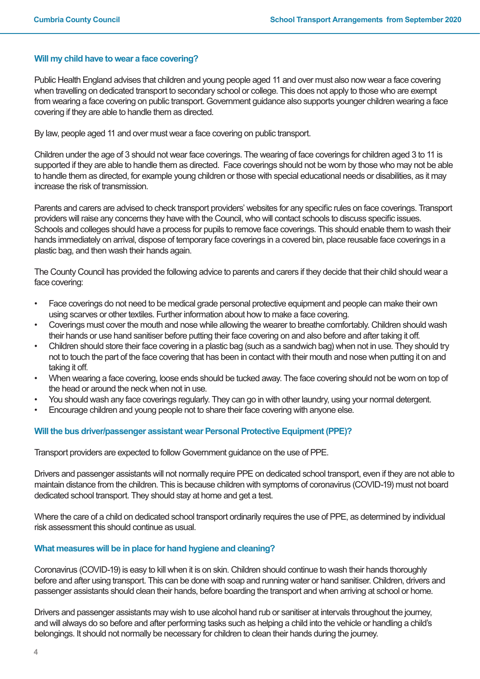## **Will my child have to wear a face covering?**

Public Health England advises that children and young people aged 11 and over must also now wear a face covering when travelling on dedicated transport to secondary school or college. This does not apply to those who are exempt from wearing a face covering on public transport. Government guidance also supports younger children wearing a face covering if they are able to handle them as directed.

By law, people aged 11 and over must wear a face covering on public transport.

Children under the age of 3 should not wear face coverings. The wearing of face coverings for children aged 3 to 11 is supported if they are able to handle them as directed. Face coverings should not be worn by those who may not be able to handle them as directed, for example young children or those with special educational needs or disabilities, as it may increase the risk of transmission.

Parents and carers are advised to check transport providers' websites for any specific rules on face coverings. Transport providers will raise any concerns they have with the Council, who will contact schools to discuss specific issues. Schools and colleges should have a process for pupils to remove face coverings. This should enable them to wash their hands immediately on arrival, dispose of temporary face coverings in a covered bin, place reusable face coverings in a plastic bag, and then wash their hands again.

The County Council has provided the following advice to parents and carers if they decide that their child should wear a face covering:

- Face coverings do not need to be medical grade personal protective equipment and people can make their own using scarves or other textiles. Further information about how to make a face covering.
- Coverings must cover the mouth and nose while allowing the wearer to breathe comfortably. Children should wash their hands or use hand sanitiser before putting their face covering on and also before and after taking it off.
- Children should store their face covering in a plastic bag (such as a sandwich bag) when not in use. They should try not to touch the part of the face covering that has been in contact with their mouth and nose when putting it on and taking it off.
- When wearing a face covering, loose ends should be tucked away. The face covering should not be worn on top of the head or around the neck when not in use.
- You should wash any face coverings regularly. They can go in with other laundry, using your normal detergent.
- Encourage children and young people not to share their face covering with anyone else.

## **Will the bus driver/passenger assistant wear Personal Protective Equipment (PPE)?**

Transport providers are expected to follow Government guidance on the use of PPE.

Drivers and passenger assistants will not normally require PPE on dedicated school transport, even if they are not able to maintain distance from the children. This is because children with symptoms of coronavirus (COVID-19) must not board dedicated school transport. They should stay at home and get a test.

Where the care of a child on dedicated school transport ordinarily requires the use of PPE, as determined by individual risk assessment this should continue as usual.

## **What measures will be in place for hand hygiene and cleaning?**

Coronavirus (COVID-19) is easy to kill when it is on skin. Children should continue to wash their hands thoroughly before and after using transport. This can be done with soap and running water or hand sanitiser. Children, drivers and passenger assistants should clean their hands, before boarding the transport and when arriving at school or home.

Drivers and passenger assistants may wish to use alcohol hand rub or sanitiser at intervals throughout the journey, and will always do so before and after performing tasks such as helping a child into the vehicle or handling a child's belongings. It should not normally be necessary for children to clean their hands during the journey.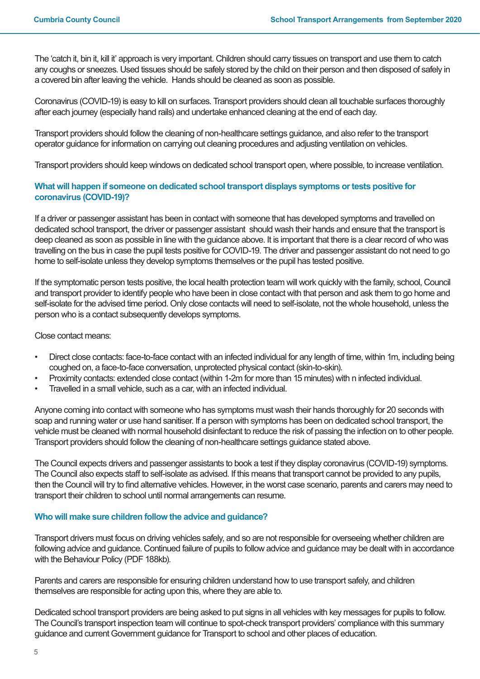The 'catch it, bin it, kill it' approach is very important. Children should carry tissues on transport and use them to catch any coughs or sneezes. Used tissues should be safely stored by the child on their person and then disposed of safely in a covered bin after leaving the vehicle. Hands should be cleaned as soon as possible.

Coronavirus (COVID-19) is easy to kill on surfaces. Transport providers should clean all touchable surfaces thoroughly after each journey (especially hand rails) and undertake enhanced cleaning at the end of each day.

Transport providers should follow the cleaning of non-healthcare settings guidance, and also refer to the transport operator guidance for information on carrying out cleaning procedures and adjusting ventilation on vehicles.

Transport providers should keep windows on dedicated school transport open, where possible, to increase ventilation.

## **What will happen if someone on dedicated school transport displays symptoms or tests positive for coronavirus (COVID-19)?**

If a driver or passenger assistant has been in contact with someone that has developed symptoms and travelled on dedicated school transport, the driver or passenger assistant should wash their hands and ensure that the transport is deep cleaned as soon as possible in line with the guidance above. It is important that there is a clear record of who was travelling on the bus in case the pupil tests positive for COVID-19. The driver and passenger assistant do not need to go home to self-isolate unless they develop symptoms themselves or the pupil has tested positive.

If the symptomatic person tests positive, the local health protection team will work quickly with the family, school, Council and transport provider to identify people who have been in close contact with that person and ask them to go home and self-isolate for the advised time period. Only close contacts will need to self-isolate, not the whole household, unless the person who is a contact subsequently develops symptoms.

Close contact means:

- Direct close contacts: face-to-face contact with an infected individual for any length of time, within 1m, including being coughed on, a face-to-face conversation, unprotected physical contact (skin-to-skin).
- Proximity contacts: extended close contact (within 1-2m for more than 15 minutes) with n infected individual.
- Travelled in a small vehicle, such as a car, with an infected individual.

Anyone coming into contact with someone who has symptoms must wash their hands thoroughly for 20 seconds with soap and running water or use hand sanitiser. If a person with symptoms has been on dedicated school transport, the vehicle must be cleaned with normal household disinfectant to reduce the risk of passing the infection on to other people. Transport providers should follow the cleaning of non-healthcare settings guidance stated above.

The Council expects drivers and passenger assistants to book a test if they display coronavirus (COVID-19) symptoms. The Council also expects staff to self-isolate as advised. If this means that transport cannot be provided to any pupils, then the Council will try to find alternative vehicles. However, in the worst case scenario, parents and carers may need to transport their children to school until normal arrangements can resume.

## **Who will make sure children follow the advice and guidance?**

Transport drivers must focus on driving vehicles safely, and so are not responsible for overseeing whether children are following advice and guidance. Continued failure of pupils to follow advice and guidance may be dealt with in accordance with the Behaviour Policy (PDF 188kb).

Parents and carers are responsible for ensuring children understand how to use transport safely, and children themselves are responsible for acting upon this, where they are able to.

Dedicated school transport providers are being asked to put signs in all vehicles with key messages for pupils to follow. The Council's transport inspection team will continue to spot-check transport providers' compliance with this summary guidance and current Government guidance for Transport to school and other places of education.